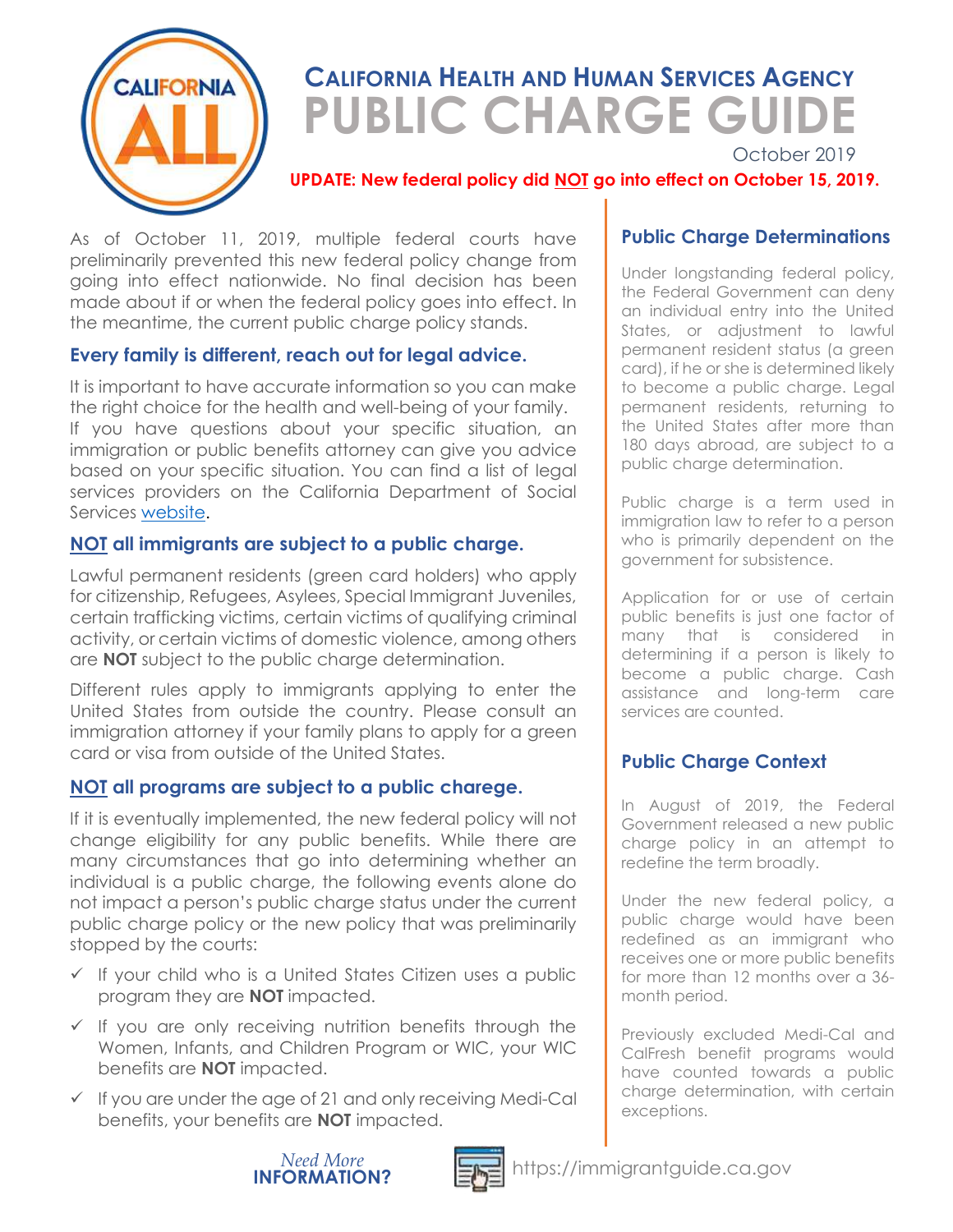

# **CALIFORNIA HEALTH AND HUMAN SERVICES AGENCY** **PUBLIC CHARGE GUIDE**

October 2019

#### **UPDATE: New federal policy did NOT go into effect on October 15, 2019.**

As of October 11, 2019, multiple federal courts have preliminarily prevented this new federal policy change from going into effect nationwide. No final decision has been made about if or when the federal policy goes into effect. In the meantime, the current public charge policy stands.

### **Every family is different, reach out for legal advice.**

It is important to have accurate information so you can make the right choice for the health and well-being of your family. If you have questions about your specific situation, an immigration or public benefits attorney can give you advice based on your specific situation. You can find a list of legal services providers on the California Department of Social Services [website.](https://www.cdss.ca.gov/Benefits-Services/More-Services/Immigration-Services/Immigration-Services-Contractors/Public-Charge-Contact-List) 

#### **NOT all immigrants are subject to a public charge.**

Lawful permanent residents (green card holders) who apply for citizenship, Refugees, Asylees, Special Immigrant Juveniles, certain trafficking victims, certain victims of qualifying criminal activity, or certain victims of domestic violence, among others are **NOT** subject to the public charge determination.

Different rules apply to immigrants applying to enter the United States from outside the country. Please consult an immigration attorney if your family plans to apply for a green card or visa from outside of the United States.

#### **NOT all programs are subject to a public charege.**

If it is eventually implemented, the new federal policy will not change eligibility for any public benefits. While there are many circumstances that go into determining whether an individual is a public charge, the following events alone do not impact a person's public charge status under the current public charge policy or the new policy that was preliminarily stopped by the courts:

- ✓ If your child who is a United States Citizen uses a public program they are **NOT** impacted.
- $\checkmark$  If you are only receiving nutrition benefits through the Women, Infants, and Children Program or WIC, your WIC benefits are **NOT** impacted.
- $\checkmark$  If you are under the age of 21 and only receiving Medi-Cal benefits, your benefits are **NOT** impacted.

#### **Public Charge Determinations**

Under longstanding federal policy, the Federal Government can deny an individual entry into the United States, or adjustment to lawful permanent resident status (a green card), if he or she is determined likely to become a public charge. Legal permanent residents, returning to the United States after more than 180 days abroad, are subject to a public charge determination.

Public charge is a term used in immigration law to refer to a person who is primarily dependent on the government for subsistence.

Application for or use of certain public benefits is just one factor of many that is considered in determining if a person is likely to become a public charge. Cash assistance and long-term care services are counted.

### **Public Charge Context**

In August of 2019, the Federal Government released a new public charge policy in an attempt to redefine the term broadly.

Under the new federal policy, a public charge would have been redefined as an immigrant who receives one or more public benefits for more than 12 months over a 36 month period.

Previously excluded Medi-Cal and CalFresh benefit programs would have counted towards a public charge determination, with certain exceptions.